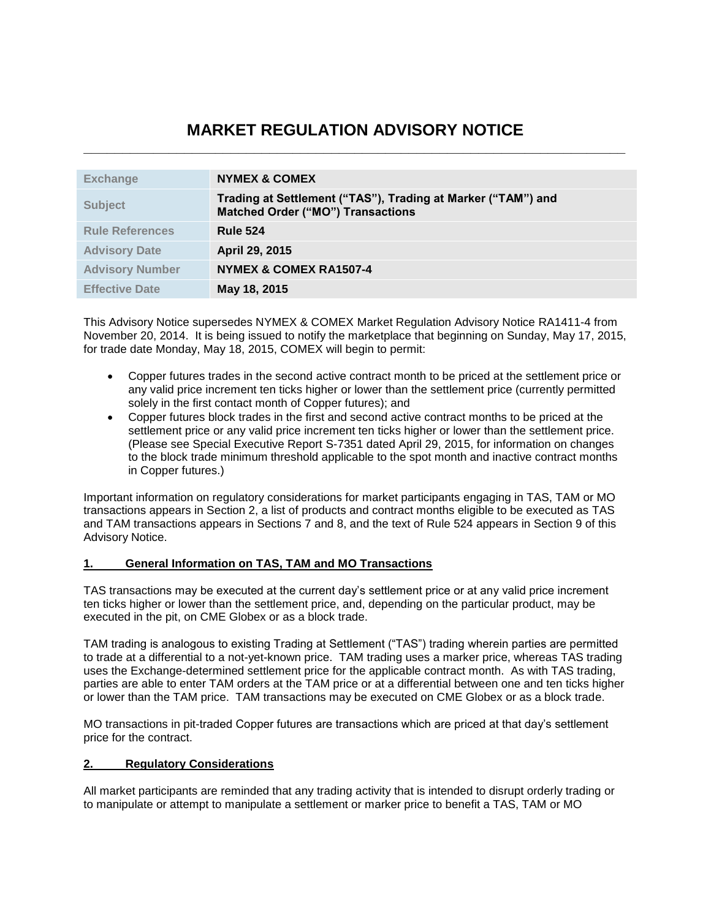# **MARKET REGULATION ADVISORY NOTICE \_\_\_\_\_\_\_\_\_\_\_\_\_\_\_\_\_\_\_\_\_\_\_\_\_\_\_\_\_\_\_\_\_\_\_\_\_\_\_\_\_\_\_\_\_\_\_\_\_\_\_\_\_\_\_\_\_\_\_\_\_\_\_\_\_\_\_\_\_\_**

| <b>Exchange</b>        | <b>NYMEX &amp; COMEX</b>                                                                                 |
|------------------------|----------------------------------------------------------------------------------------------------------|
| <b>Subject</b>         | Trading at Settlement ("TAS"), Trading at Marker ("TAM") and<br><b>Matched Order ("MO") Transactions</b> |
| <b>Rule References</b> | <b>Rule 524</b>                                                                                          |
| <b>Advisory Date</b>   | April 29, 2015                                                                                           |
| <b>Advisory Number</b> | NYMEX & COMEX RA1507-4                                                                                   |
| <b>Effective Date</b>  | May 18, 2015                                                                                             |

This Advisory Notice supersedes NYMEX & COMEX Market Regulation Advisory Notice RA1411-4 from November 20, 2014. It is being issued to notify the marketplace that beginning on Sunday, May 17, 2015, for trade date Monday, May 18, 2015, COMEX will begin to permit:

- Copper futures trades in the second active contract month to be priced at the settlement price or any valid price increment ten ticks higher or lower than the settlement price (currently permitted solely in the first contact month of Copper futures); and
- Copper futures block trades in the first and second active contract months to be priced at the settlement price or any valid price increment ten ticks higher or lower than the settlement price. (Please see Special Executive Report S-7351 dated April 29, 2015, for information on changes to the block trade minimum threshold applicable to the spot month and inactive contract months in Copper futures.)

Important information on regulatory considerations for market participants engaging in TAS, TAM or MO transactions appears in Section 2, a list of products and contract months eligible to be executed as TAS and TAM transactions appears in Sections 7 and 8, and the text of Rule 524 appears in Section 9 of this Advisory Notice.

## **1. General Information on TAS, TAM and MO Transactions**

TAS transactions may be executed at the current day's settlement price or at any valid price increment ten ticks higher or lower than the settlement price, and, depending on the particular product, may be executed in the pit, on CME Globex or as a block trade.

TAM trading is analogous to existing Trading at Settlement ("TAS") trading wherein parties are permitted to trade at a differential to a not-yet-known price. TAM trading uses a marker price, whereas TAS trading uses the Exchange-determined settlement price for the applicable contract month. As with TAS trading, parties are able to enter TAM orders at the TAM price or at a differential between one and ten ticks higher or lower than the TAM price. TAM transactions may be executed on CME Globex or as a block trade.

MO transactions in pit-traded Copper futures are transactions which are priced at that day's settlement price for the contract.

## **2. Regulatory Considerations**

All market participants are reminded that any trading activity that is intended to disrupt orderly trading or to manipulate or attempt to manipulate a settlement or marker price to benefit a TAS, TAM or MO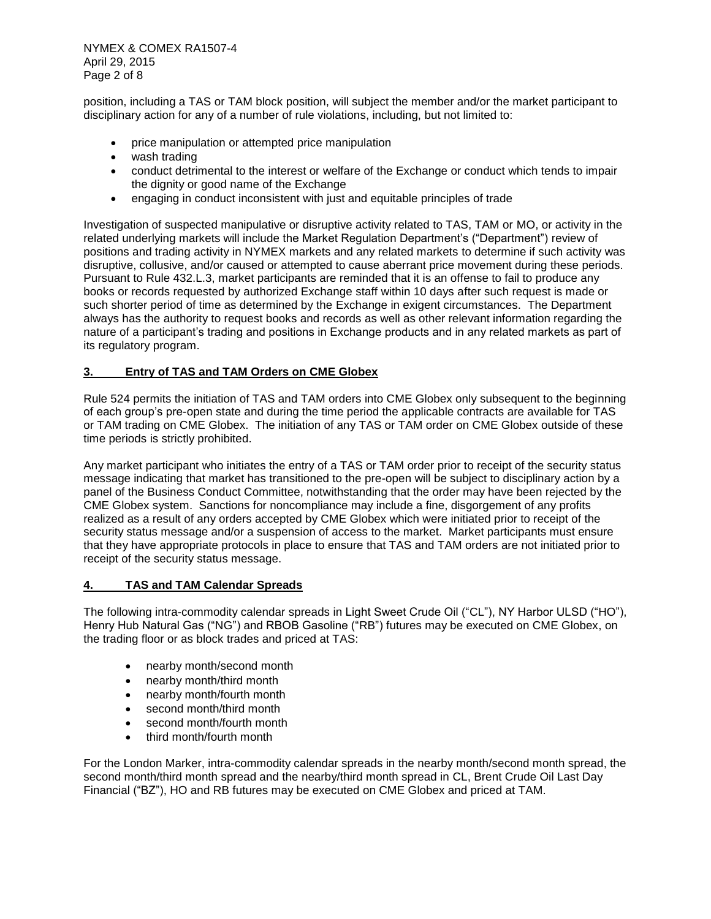NYMEX & COMEX RA1507-4 April 29, 2015 Page 2 of 8

position, including a TAS or TAM block position, will subject the member and/or the market participant to disciplinary action for any of a number of rule violations, including, but not limited to:

- price manipulation or attempted price manipulation
- wash trading
- conduct detrimental to the interest or welfare of the Exchange or conduct which tends to impair the dignity or good name of the Exchange
- engaging in conduct inconsistent with just and equitable principles of trade

Investigation of suspected manipulative or disruptive activity related to TAS, TAM or MO, or activity in the related underlying markets will include the Market Regulation Department's ("Department") review of positions and trading activity in NYMEX markets and any related markets to determine if such activity was disruptive, collusive, and/or caused or attempted to cause aberrant price movement during these periods. Pursuant to Rule 432.L.3, market participants are reminded that it is an offense to fail to produce any books or records requested by authorized Exchange staff within 10 days after such request is made or such shorter period of time as determined by the Exchange in exigent circumstances. The Department always has the authority to request books and records as well as other relevant information regarding the nature of a participant's trading and positions in Exchange products and in any related markets as part of its regulatory program.

### **3. Entry of TAS and TAM Orders on CME Globex**

Rule 524 permits the initiation of TAS and TAM orders into CME Globex only subsequent to the beginning of each group's pre-open state and during the time period the applicable contracts are available for TAS or TAM trading on CME Globex. The initiation of any TAS or TAM order on CME Globex outside of these time periods is strictly prohibited.

Any market participant who initiates the entry of a TAS or TAM order prior to receipt of the security status message indicating that market has transitioned to the pre-open will be subject to disciplinary action by a panel of the Business Conduct Committee, notwithstanding that the order may have been rejected by the CME Globex system. Sanctions for noncompliance may include a fine, disgorgement of any profits realized as a result of any orders accepted by CME Globex which were initiated prior to receipt of the security status message and/or a suspension of access to the market. Market participants must ensure that they have appropriate protocols in place to ensure that TAS and TAM orders are not initiated prior to receipt of the security status message.

#### **4. TAS and TAM Calendar Spreads**

The following intra-commodity calendar spreads in Light Sweet Crude Oil ("CL"), NY Harbor ULSD ("HO"), Henry Hub Natural Gas ("NG") and RBOB Gasoline ("RB") futures may be executed on CME Globex, on the trading floor or as block trades and priced at TAS:

- nearby month/second month
- nearby month/third month
- nearby month/fourth month
- second month/third month
- second month/fourth month
- third month/fourth month

For the London Marker, intra-commodity calendar spreads in the nearby month/second month spread, the second month/third month spread and the nearby/third month spread in CL, Brent Crude Oil Last Day Financial ("BZ"), HO and RB futures may be executed on CME Globex and priced at TAM.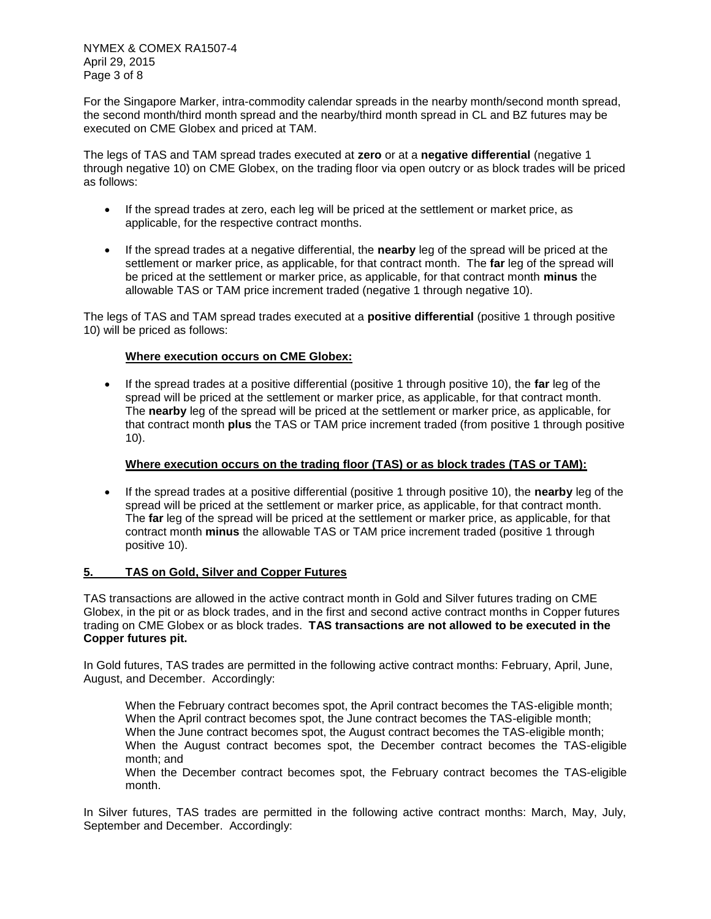For the Singapore Marker, intra-commodity calendar spreads in the nearby month/second month spread, the second month/third month spread and the nearby/third month spread in CL and BZ futures may be executed on CME Globex and priced at TAM.

The legs of TAS and TAM spread trades executed at **zero** or at a **negative differential** (negative 1 through negative 10) on CME Globex, on the trading floor via open outcry or as block trades will be priced as follows:

- If the spread trades at zero, each leg will be priced at the settlement or market price, as applicable, for the respective contract months.
- If the spread trades at a negative differential, the **nearby** leg of the spread will be priced at the settlement or marker price, as applicable, for that contract month. The **far** leg of the spread will be priced at the settlement or marker price, as applicable, for that contract month **minus** the allowable TAS or TAM price increment traded (negative 1 through negative 10).

The legs of TAS and TAM spread trades executed at a **positive differential** (positive 1 through positive 10) will be priced as follows:

## **Where execution occurs on CME Globex:**

 If the spread trades at a positive differential (positive 1 through positive 10), the **far** leg of the spread will be priced at the settlement or marker price, as applicable, for that contract month. The **nearby** leg of the spread will be priced at the settlement or marker price, as applicable, for that contract month **plus** the TAS or TAM price increment traded (from positive 1 through positive 10).

## **Where execution occurs on the trading floor (TAS) or as block trades (TAS or TAM):**

 If the spread trades at a positive differential (positive 1 through positive 10), the **nearby** leg of the spread will be priced at the settlement or marker price, as applicable, for that contract month. The **far** leg of the spread will be priced at the settlement or marker price, as applicable, for that contract month **minus** the allowable TAS or TAM price increment traded (positive 1 through positive 10).

## **5. TAS on Gold, Silver and Copper Futures**

TAS transactions are allowed in the active contract month in Gold and Silver futures trading on CME Globex, in the pit or as block trades, and in the first and second active contract months in Copper futures trading on CME Globex or as block trades. **TAS transactions are not allowed to be executed in the Copper futures pit.**

In Gold futures, TAS trades are permitted in the following active contract months: February, April, June, August, and December. Accordingly:

When the February contract becomes spot, the April contract becomes the TAS-eligible month; When the April contract becomes spot, the June contract becomes the TAS-eligible month; When the June contract becomes spot, the August contract becomes the TAS-eligible month; When the August contract becomes spot, the December contract becomes the TAS-eligible month; and

When the December contract becomes spot, the February contract becomes the TAS-eligible month.

In Silver futures, TAS trades are permitted in the following active contract months: March, May, July, September and December. Accordingly: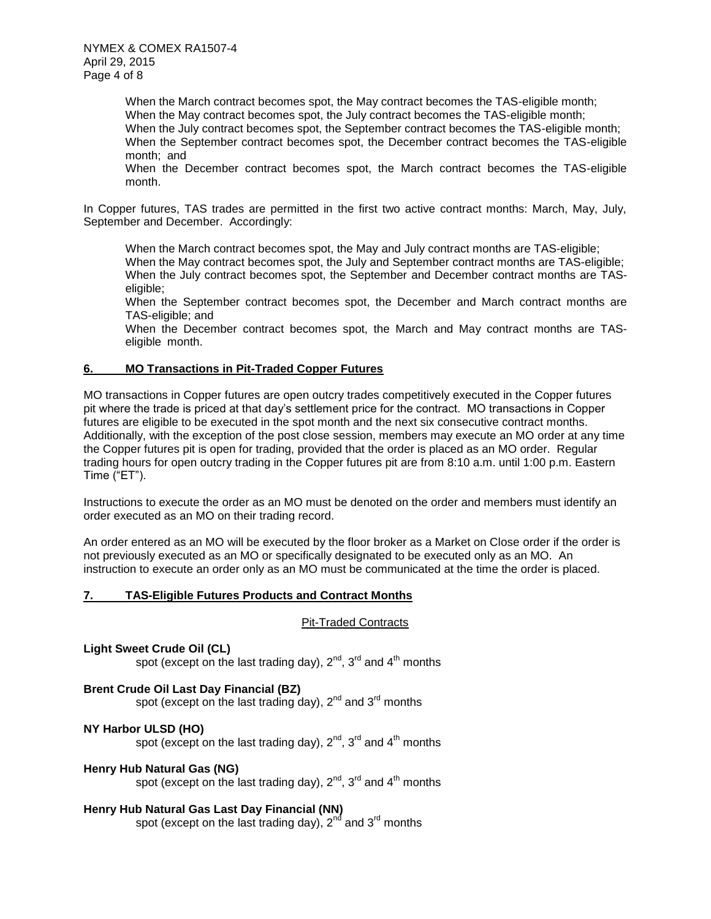When the March contract becomes spot, the May contract becomes the TAS-eligible month; When the May contract becomes spot, the July contract becomes the TAS-eligible month; When the July contract becomes spot, the September contract becomes the TAS-eligible month; When the September contract becomes spot, the December contract becomes the TAS-eligible month; and

When the December contract becomes spot, the March contract becomes the TAS-eligible month.

In Copper futures, TAS trades are permitted in the first two active contract months: March, May, July, September and December. Accordingly:

When the March contract becomes spot, the May and July contract months are TAS-eligible;

When the May contract becomes spot, the July and September contract months are TAS-eligible; When the July contract becomes spot, the September and December contract months are TASeligible;

When the September contract becomes spot, the December and March contract months are TAS-eligible; and

When the December contract becomes spot, the March and May contract months are TASeligible month.

### **6. MO Transactions in Pit-Traded Copper Futures**

MO transactions in Copper futures are open outcry trades competitively executed in the Copper futures pit where the trade is priced at that day's settlement price for the contract. MO transactions in Copper futures are eligible to be executed in the spot month and the next six consecutive contract months. Additionally, with the exception of the post close session, members may execute an MO order at any time the Copper futures pit is open for trading, provided that the order is placed as an MO order. Regular trading hours for open outcry trading in the Copper futures pit are from 8:10 a.m. until 1:00 p.m. Eastern Time ("ET").

Instructions to execute the order as an MO must be denoted on the order and members must identify an order executed as an MO on their trading record.

An order entered as an MO will be executed by the floor broker as a Market on Close order if the order is not previously executed as an MO or specifically designated to be executed only as an MO. An instruction to execute an order only as an MO must be communicated at the time the order is placed.

#### **7. TAS-Eligible Futures Products and Contract Months**

#### Pit-Traded Contracts

**Light Sweet Crude Oil (CL)** spot (except on the last trading day),  $2^{nd}$ ,  $3^{rd}$  and  $4^{th}$  months

## **Brent Crude Oil Last Day Financial (BZ)**

spot (except on the last trading day), 2<sup>nd</sup> and 3<sup>rd</sup> months

#### **NY Harbor ULSD (HO)**

spot (except on the last trading day),  $2^{nd}$ ,  $3^{rd}$  and  $4^{th}$  months

#### **Henry Hub Natural Gas (NG)**

spot (except on the last trading day),  $2^{nd}$ ,  $3^{rd}$  and  $4^{th}$  months

## **Henry Hub Natural Gas Last Day Financial (NN)**

spot (except on the last trading day),  $2^{nd}$  and  $3^{rd}$  months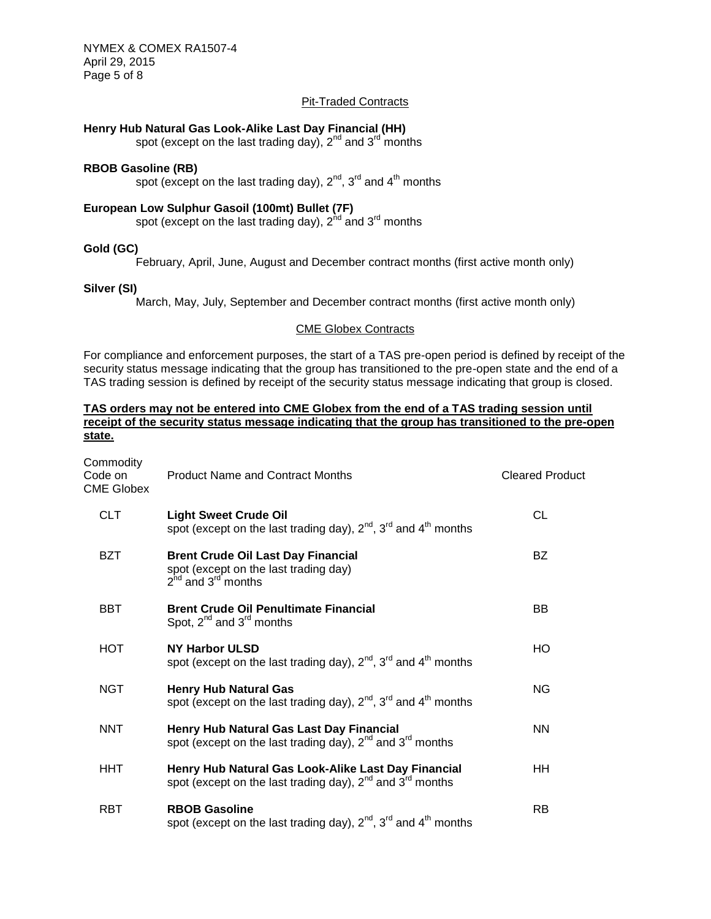NYMEX & COMEX RA1507-4 April 29, 2015 Page 5 of 8

## Pit-Traded Contracts

## **Henry Hub Natural Gas Look-Alike Last Day Financial (HH)**

spot (except on the last trading day),  $2<sup>nd</sup>$  and  $3<sup>rd</sup>$  months

## **RBOB Gasoline (RB)**

spot (except on the last trading day),  $2^{nd}$ ,  $3^{rd}$  and  $4^{th}$  months

## **European Low Sulphur Gasoil (100mt) Bullet (7F)**

spot (except on the last trading day),  $2^{nd}$  and  $3^{rd}$  months

#### **Gold (GC)**

February, April, June, August and December contract months (first active month only)

#### **Silver (SI)**

March, May, July, September and December contract months (first active month only)

#### CME Globex Contracts

For compliance and enforcement purposes, the start of a TAS pre-open period is defined by receipt of the security status message indicating that the group has transitioned to the pre-open state and the end of a TAS trading session is defined by receipt of the security status message indicating that group is closed.

#### **TAS orders may not be entered into CME Globex from the end of a TAS trading session until receipt of the security status message indicating that the group has transitioned to the pre-open state.**

| Commodity<br>Code on<br><b>CME Globex</b> | <b>Product Name and Contract Months</b>                                                                                    | <b>Cleared Product</b> |
|-------------------------------------------|----------------------------------------------------------------------------------------------------------------------------|------------------------|
| <b>CLT</b>                                | <b>Light Sweet Crude Oil</b><br>spot (except on the last trading day), $2^{nd}$ , $3^{rd}$ and $4^{th}$ months             | CL                     |
| <b>BZT</b>                                | <b>Brent Crude Oil Last Day Financial</b><br>spot (except on the last trading day)<br>$2^{nd}$ and $3^{rd}$ months         | <b>BZ</b>              |
| <b>BBT</b>                                | <b>Brent Crude Oil Penultimate Financial</b><br>Spot, $2^{nd}$ and $3^{rd}$ months                                         | ВB                     |
| <b>HOT</b>                                | <b>NY Harbor ULSD</b><br>spot (except on the last trading day), $2^{nd}$ , $3^{rd}$ and $4^{th}$ months                    | HO.                    |
| <b>NGT</b>                                | <b>Henry Hub Natural Gas</b><br>spot (except on the last trading day), $2^{nd}$ , $3^{rd}$ and $4^{th}$ months             | ΝG                     |
| <b>NNT</b>                                | Henry Hub Natural Gas Last Day Financial<br>spot (except on the last trading day), $2^{nd}$ and $3^{rd}$ months            | <b>NN</b>              |
| HHT                                       | Henry Hub Natural Gas Look-Alike Last Day Financial<br>spot (except on the last trading day), $2^{nd}$ and $3^{rd}$ months | ΗH                     |
| <b>RBT</b>                                | <b>RBOB Gasoline</b><br>spot (except on the last trading day), $2^{nd}$ , $3^{rd}$ and $4^{th}$ months                     | <b>RB</b>              |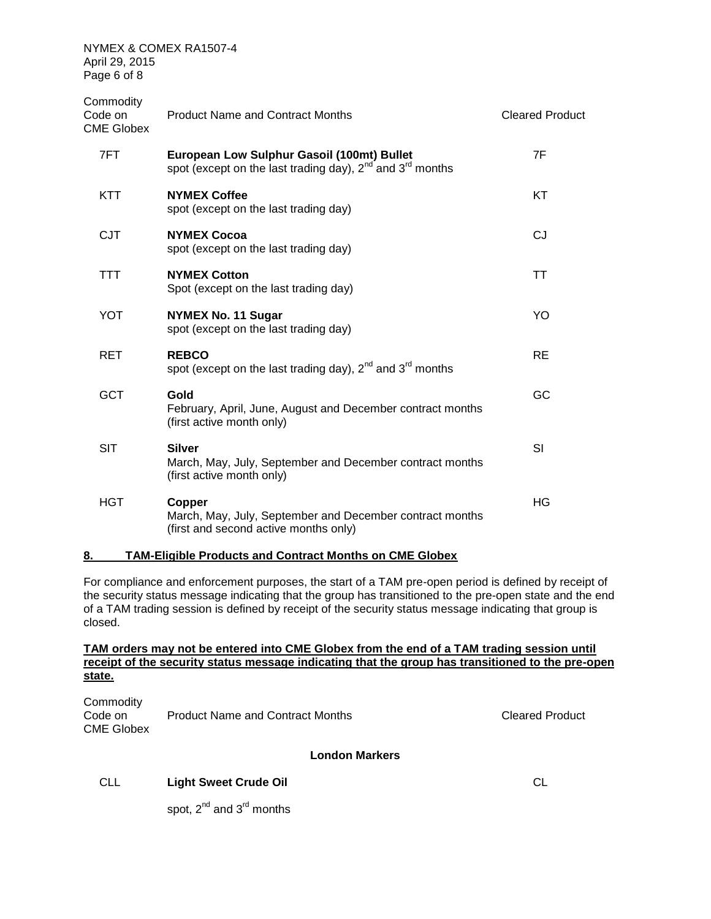| Commodity<br>Code on<br><b>CME Globex</b> | <b>Product Name and Contract Months</b>                                                                           | <b>Cleared Product</b> |
|-------------------------------------------|-------------------------------------------------------------------------------------------------------------------|------------------------|
| 7FT                                       | European Low Sulphur Gasoil (100mt) Bullet<br>spot (except on the last trading day), $2^{nd}$ and $3^{rd}$ months | 7F                     |
| KTT                                       | <b>NYMEX Coffee</b><br>spot (except on the last trading day)                                                      | KT                     |
| <b>CJT</b>                                | <b>NYMEX Cocoa</b><br>spot (except on the last trading day)                                                       | <b>CJ</b>              |
| <b>TTT</b>                                | <b>NYMEX Cotton</b><br>Spot (except on the last trading day)                                                      | TT                     |
| YOT                                       | <b>NYMEX No. 11 Sugar</b><br>spot (except on the last trading day)                                                | YO                     |
| RET                                       | <b>REBCO</b><br>spot (except on the last trading day), $2^{nd}$ and $3^{rd}$ months                               | <b>RE</b>              |
| <b>GCT</b>                                | Gold<br>February, April, June, August and December contract months<br>(first active month only)                   | GC                     |
| <b>SIT</b>                                | <b>Silver</b><br>March, May, July, September and December contract months<br>(first active month only)            | SI                     |
| <b>HGT</b>                                | Copper<br>March, May, July, September and December contract months<br>(first and second active months only)       | HG                     |

### **8. TAM-Eligible Products and Contract Months on CME Globex**

For compliance and enforcement purposes, the start of a TAM pre-open period is defined by receipt of the security status message indicating that the group has transitioned to the pre-open state and the end of a TAM trading session is defined by receipt of the security status message indicating that group is closed.

## **TAM orders may not be entered into CME Globex from the end of a TAM trading session until receipt of the security status message indicating that the group has transitioned to the pre-open state.**

| Commodity<br>Code on | Product Name and Contract Months | <b>Cleared Product</b> |
|----------------------|----------------------------------|------------------------|
| <b>CME Globex</b>    |                                  |                        |

## **London Markers**

## CLL **Light Sweet Crude Oil** CL

spot,  $2^{nd}$  and  $3^{rd}$  months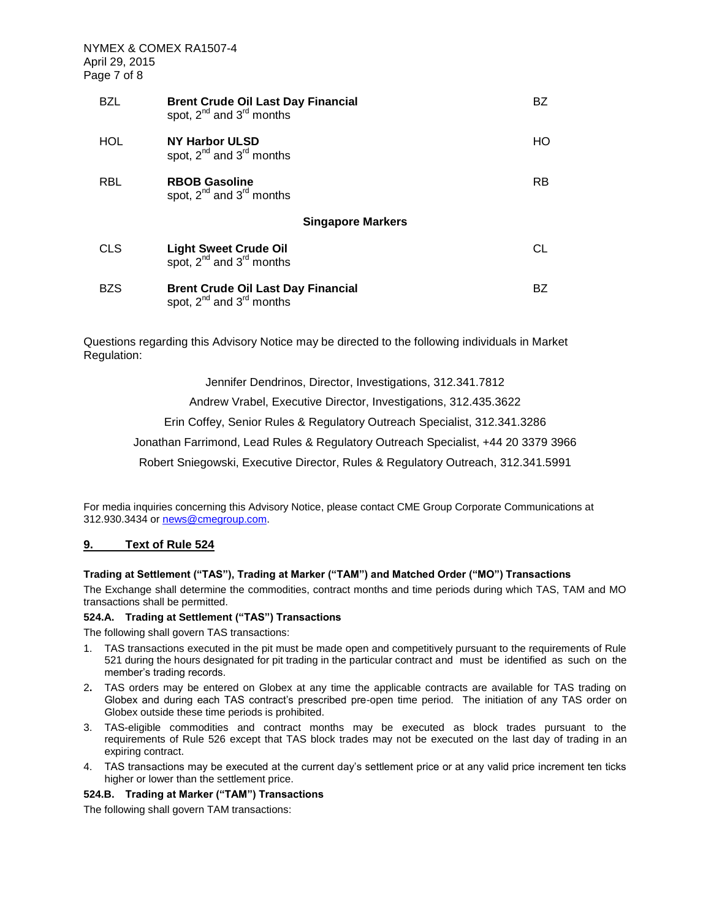| <b>BZL</b> | <b>Brent Crude Oil Last Day Financial</b><br>spot, $2^{nd}$ and $3^{rd}$ months | BZ  |
|------------|---------------------------------------------------------------------------------|-----|
| HOL        | NY Harbor ULSD<br>spot, 2 <sup>nd</sup> and 3 <sup>rd</sup> months              | HO. |
| <b>RBL</b> | <b>RBOB Gasoline</b><br>spot, $2^{nd}$ and $3^{rd}$ months                      | RB. |
|            | <b>Singapore Markers</b>                                                        |     |
| <b>CLS</b> | Light Sweet Crude Oil<br>spot, 2 <sup>nd</sup> and 3 <sup>rd</sup> months       | CL  |
| <b>BZS</b> | <b>Brent Crude Oil Last Day Financial</b><br>spot, $2^{nd}$ and $3^{rd}$ months | BZ. |

Questions regarding this Advisory Notice may be directed to the following individuals in Market Regulation:

Jennifer Dendrinos, Director, Investigations, 312.341.7812

Andrew Vrabel, Executive Director, Investigations, 312.435.3622

Erin Coffey, Senior Rules & Regulatory Outreach Specialist, 312.341.3286

Jonathan Farrimond, Lead Rules & Regulatory Outreach Specialist, +44 20 3379 3966

Robert Sniegowski, Executive Director, Rules & Regulatory Outreach, 312.341.5991

For media inquiries concerning this Advisory Notice, please contact CME Group Corporate Communications at 312.930.3434 or [news@cmegroup.com.](mailto:news@cmegroup.com)

#### **9. Text of Rule 524**

## **Trading at Settlement ("TAS"), Trading at Marker ("TAM") and Matched Order ("MO") Transactions**

The Exchange shall determine the commodities, contract months and time periods during which TAS, TAM and MO transactions shall be permitted.

#### **524.A. Trading at Settlement ("TAS") Transactions**

The following shall govern TAS transactions:

- 1. TAS transactions executed in the pit must be made open and competitively pursuant to the requirements of Rule 521 during the hours designated for pit trading in the particular contract and must be identified as such on the member's trading records.
- 2**.** TAS orders may be entered on Globex at any time the applicable contracts are available for TAS trading on Globex and during each TAS contract's prescribed pre-open time period. The initiation of any TAS order on Globex outside these time periods is prohibited.
- 3. TAS-eligible commodities and contract months may be executed as block trades pursuant to the requirements of Rule 526 except that TAS block trades may not be executed on the last day of trading in an expiring contract.
- 4. TAS transactions may be executed at the current day's settlement price or at any valid price increment ten ticks higher or lower than the settlement price.

#### **524.B. Trading at Marker ("TAM") Transactions**

The following shall govern TAM transactions: